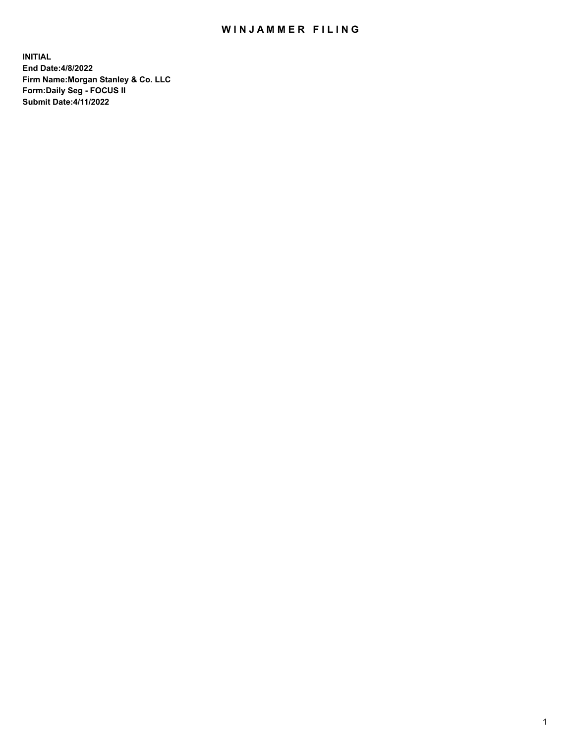## WIN JAMMER FILING

**INITIAL End Date:4/8/2022 Firm Name:Morgan Stanley & Co. LLC Form:Daily Seg - FOCUS II Submit Date:4/11/2022**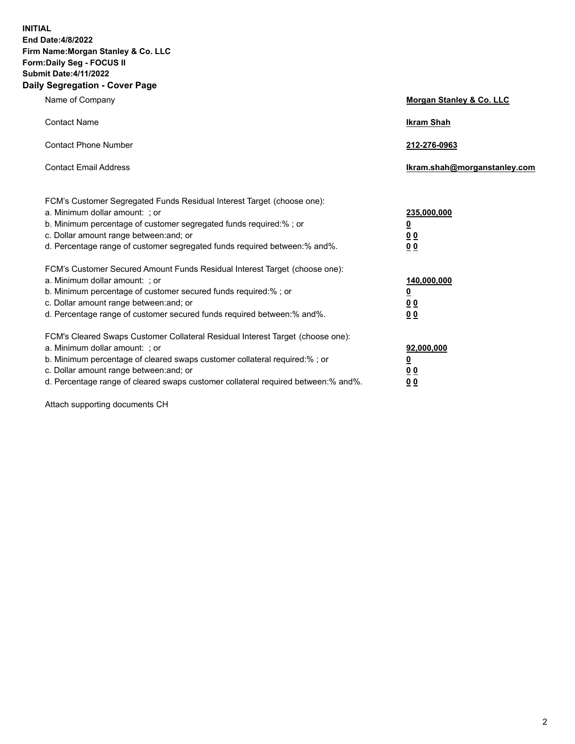**INITIAL End Date:4/8/2022 Firm Name:Morgan Stanley & Co. LLC Form:Daily Seg - FOCUS II Submit Date:4/11/2022 Daily Segregation - Cover Page**

| Name of Company                                                                                                                                                                                                                                                                                                                | Morgan Stanley & Co. LLC                                |
|--------------------------------------------------------------------------------------------------------------------------------------------------------------------------------------------------------------------------------------------------------------------------------------------------------------------------------|---------------------------------------------------------|
| <b>Contact Name</b>                                                                                                                                                                                                                                                                                                            | <b>Ikram Shah</b>                                       |
| <b>Contact Phone Number</b>                                                                                                                                                                                                                                                                                                    | 212-276-0963                                            |
| <b>Contact Email Address</b>                                                                                                                                                                                                                                                                                                   | Ikram.shah@morganstanley.com                            |
| FCM's Customer Segregated Funds Residual Interest Target (choose one):<br>a. Minimum dollar amount: ; or<br>b. Minimum percentage of customer segregated funds required:% ; or<br>c. Dollar amount range between: and; or<br>d. Percentage range of customer segregated funds required between:% and%.                         | 235,000,000<br><u>0</u><br>0 <sup>0</sup><br>00         |
| FCM's Customer Secured Amount Funds Residual Interest Target (choose one):<br>a. Minimum dollar amount: ; or<br>b. Minimum percentage of customer secured funds required:%; or<br>c. Dollar amount range between: and; or<br>d. Percentage range of customer secured funds required between:% and%.                            | 140,000,000<br><u>0</u><br><u>0 0</u><br>0 <sub>0</sub> |
| FCM's Cleared Swaps Customer Collateral Residual Interest Target (choose one):<br>a. Minimum dollar amount: ; or<br>b. Minimum percentage of cleared swaps customer collateral required:% ; or<br>c. Dollar amount range between: and; or<br>d. Percentage range of cleared swaps customer collateral required between:% and%. | 92,000,000<br><u>0</u><br><u>00</u><br>0 <sub>0</sub>   |

Attach supporting documents CH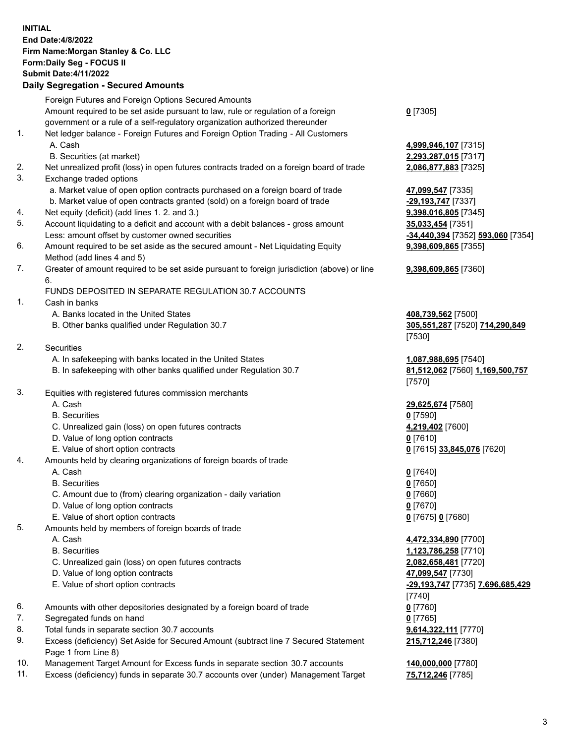## **INITIAL End Date:4/8/2022 Firm Name:Morgan Stanley & Co. LLC Form:Daily Seg - FOCUS II Submit Date:4/11/2022**

## **Daily Segregation - Secured Amounts**

Foreign Futures and Foreign Options Secured Amounts Amount required to be set aside pursuant to law, rule or regulation of a foreign government or a rule of a self-regulatory organization authorized thereunder **0** [7305] 1. Net ledger balance - Foreign Futures and Foreign Option Trading - All Customers A. Cash **4,999,946,107** [7315] B. Securities (at market) **2,293,287,015** [7317] 2. Net unrealized profit (loss) in open futures contracts traded on a foreign board of trade **2,086,877,883** [7325] 3. Exchange traded options a. Market value of open option contracts purchased on a foreign board of trade **47,099,547** [7335] b. Market value of open contracts granted (sold) on a foreign board of trade **-29,193,747** [7337] 4. Net equity (deficit) (add lines 1. 2. and 3.) **9,398,016,805** [7345] 5. Account liquidating to a deficit and account with a debit balances - gross amount **35,033,454** [7351] Less: amount offset by customer owned securities **-34,440,394** [7352] **593,060** [7354] 6. Amount required to be set aside as the secured amount - Net Liquidating Equity Method (add lines 4 and 5) 7. Greater of amount required to be set aside pursuant to foreign jurisdiction (above) or line 6. FUNDS DEPOSITED IN SEPARATE REGULATION 30.7 ACCOUNTS 1. Cash in banks A. Banks located in the United States **408,739,562** [7500] B. Other banks qualified under Regulation 30.7 **305,551,287** [7520] **714,290,849** [7530] 2. Securities A. In safekeeping with banks located in the United States **1,087,988,695** [7540] B. In safekeeping with other banks qualified under Regulation 30.7 **81,512,062** [7560] **1,169,500,757** [7570] 3. Equities with registered futures commission merchants A. Cash **29,625,674** [7580] B. Securities **0** [7590] C. Unrealized gain (loss) on open futures contracts **4,219,402** [7600] D. Value of long option contracts **0** [7610] E. Value of short option contracts **0** [7615] **33,845,076** [7620] 4. Amounts held by clearing organizations of foreign boards of trade A. Cash **0** [7640] B. Securities **0** [7650] C. Amount due to (from) clearing organization - daily variation **0** [7660] D. Value of long option contracts **0** [7670] E. Value of short option contracts **0** [7675] **0** [7680] 5. Amounts held by members of foreign boards of trade A. Cash **4,472,334,890** [7700] B. Securities **1,123,786,258** [7710] C. Unrealized gain (loss) on open futures contracts **2,082,658,481** [7720] D. Value of long option contracts **47,099,547** [7730] E. Value of short option contracts **-29,193,747** [7735] **7,696,685,429** [7740] 6. Amounts with other depositories designated by a foreign board of trade **0** [7760] 7. Segregated funds on hand **0** [7765] 8. Total funds in separate section 30.7 accounts **9,614,322,111** [7770] 9. Excess (deficiency) Set Aside for Secured Amount (subtract line 7 Secured Statement

10. Management Target Amount for Excess funds in separate section 30.7 accounts **140,000,000** [7780]

Page 1 from Line 8)

11. Excess (deficiency) funds in separate 30.7 accounts over (under) Management Target **75,712,246** [7785]

**9,398,609,865** [7355]

## **9,398,609,865** [7360]

**215,712,246** [7380]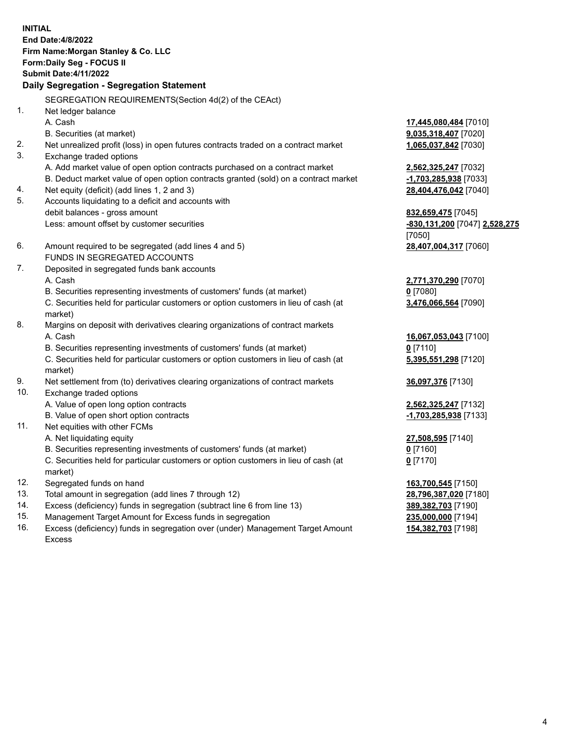**INITIAL End Date:4/8/2022 Firm Name:Morgan Stanley & Co. LLC Form:Daily Seg - FOCUS II Submit Date:4/11/2022 Daily Segregation - Segregation Statement** SEGREGATION REQUIREMENTS(Section 4d(2) of the CEAct) 1. Net ledger balance A. Cash **17,445,080,484** [7010] B. Securities (at market) **9,035,318,407** [7020] 2. Net unrealized profit (loss) in open futures contracts traded on a contract market **1,065,037,842** [7030] 3. Exchange traded options A. Add market value of open option contracts purchased on a contract market **2,562,325,247** [7032] B. Deduct market value of open option contracts granted (sold) on a contract market **-1,703,285,938** [7033] 4. Net equity (deficit) (add lines 1, 2 and 3) **28,404,476,042** [7040] 5. Accounts liquidating to a deficit and accounts with debit balances - gross amount **832,659,475** [7045] Less: amount offset by customer securities **-830,131,200** [7047] **2,528,275** [7050] 6. Amount required to be segregated (add lines 4 and 5) **28,407,004,317** [7060] FUNDS IN SEGREGATED ACCOUNTS 7. Deposited in segregated funds bank accounts A. Cash **2,771,370,290** [7070] B. Securities representing investments of customers' funds (at market) **0** [7080] C. Securities held for particular customers or option customers in lieu of cash (at market) **3,476,066,564** [7090] 8. Margins on deposit with derivatives clearing organizations of contract markets A. Cash **16,067,053,043** [7100] B. Securities representing investments of customers' funds (at market) **0** [7110] C. Securities held for particular customers or option customers in lieu of cash (at market) **5,395,551,298** [7120] 9. Net settlement from (to) derivatives clearing organizations of contract markets **36,097,376** [7130] 10. Exchange traded options A. Value of open long option contracts **2,562,325,247** [7132] B. Value of open short option contracts **-1,703,285,938** [7133] 11. Net equities with other FCMs A. Net liquidating equity **27,508,595** [7140] B. Securities representing investments of customers' funds (at market) **0** [7160] C. Securities held for particular customers or option customers in lieu of cash (at market) **0** [7170] 12. Segregated funds on hand **163,700,545** [7150] 13. Total amount in segregation (add lines 7 through 12) **28,796,387,020** [7180] 14. Excess (deficiency) funds in segregation (subtract line 6 from line 13) **389,382,703** [7190] 15. Management Target Amount for Excess funds in segregation **235,000,000** [7194]

16. Excess (deficiency) funds in segregation over (under) Management Target Amount Excess

**154,382,703** [7198]